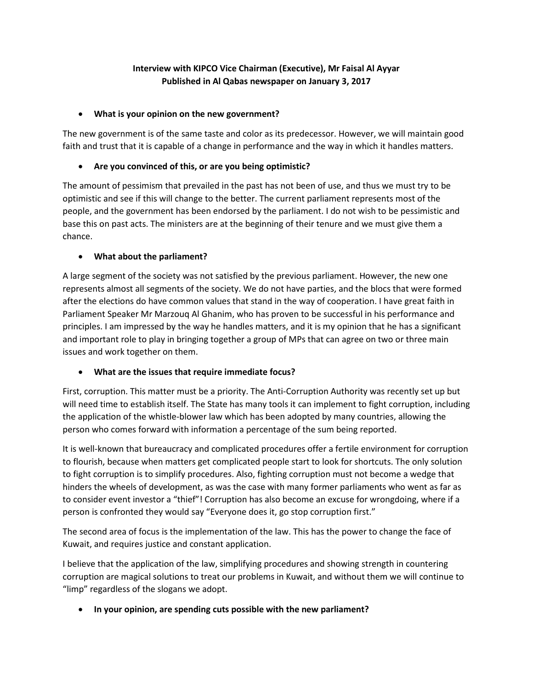# **Interview with KIPCO Vice Chairman (Executive), Mr Faisal Al Ayyar Published in Al Qabas newspaper on January 3, 2017**

#### • **What is your opinion on the new government?**

The new government is of the same taste and color as its predecessor. However, we will maintain good faith and trust that it is capable of a change in performance and the way in which it handles matters.

### • **Are you convinced of this, or are you being optimistic?**

The amount of pessimism that prevailed in the past has not been of use, and thus we must try to be optimistic and see if this will change to the better. The current parliament represents most of the people, and the government has been endorsed by the parliament. I do not wish to be pessimistic and base this on past acts. The ministers are at the beginning of their tenure and we must give them a chance.

#### • **What about the parliament?**

A large segment of the society was not satisfied by the previous parliament. However, the new one represents almost all segments of the society. We do not have parties, and the blocs that were formed after the elections do have common values that stand in the way of cooperation. I have great faith in Parliament Speaker Mr Marzouq Al Ghanim, who has proven to be successful in his performance and principles. I am impressed by the way he handles matters, and it is my opinion that he has a significant and important role to play in bringing together a group of MPs that can agree on two or three main issues and work together on them.

### • **What are the issues that require immediate focus?**

First, corruption. This matter must be a priority. The Anti-Corruption Authority was recently set up but will need time to establish itself. The State has many tools it can implement to fight corruption, including the application of the whistle-blower law which has been adopted by many countries, allowing the person who comes forward with information a percentage of the sum being reported.

It is well-known that bureaucracy and complicated procedures offer a fertile environment for corruption to flourish, because when matters get complicated people start to look for shortcuts. The only solution to fight corruption is to simplify procedures. Also, fighting corruption must not become a wedge that hinders the wheels of development, as was the case with many former parliaments who went as far as to consider event investor a "thief"! Corruption has also become an excuse for wrongdoing, where if a person is confronted they would say "Everyone does it, go stop corruption first."

The second area of focus is the implementation of the law. This has the power to change the face of Kuwait, and requires justice and constant application.

I believe that the application of the law, simplifying procedures and showing strength in countering corruption are magical solutions to treat our problems in Kuwait, and without them we will continue to "limp" regardless of the slogans we adopt.

### • **In your opinion, are spending cuts possible with the new parliament?**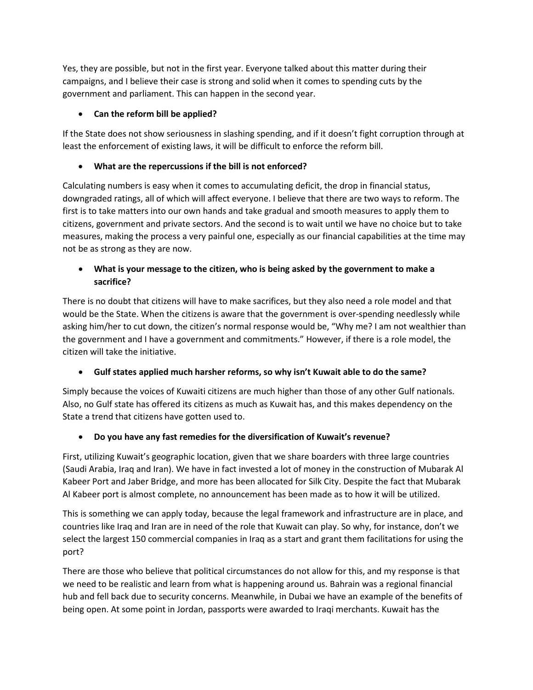Yes, they are possible, but not in the first year. Everyone talked about this matter during their campaigns, and I believe their case is strong and solid when it comes to spending cuts by the government and parliament. This can happen in the second year.

# • **Can the reform bill be applied?**

If the State does not show seriousness in slashing spending, and if it doesn't fight corruption through at least the enforcement of existing laws, it will be difficult to enforce the reform bill.

## • **What are the repercussions if the bill is not enforced?**

Calculating numbers is easy when it comes to accumulating deficit, the drop in financial status, downgraded ratings, all of which will affect everyone. I believe that there are two ways to reform. The first is to take matters into our own hands and take gradual and smooth measures to apply them to citizens, government and private sectors. And the second is to wait until we have no choice but to take measures, making the process a very painful one, especially as our financial capabilities at the time may not be as strong as they are now.

# • **What is your message to the citizen, who is being asked by the government to make a sacrifice?**

There is no doubt that citizens will have to make sacrifices, but they also need a role model and that would be the State. When the citizens is aware that the government is over-spending needlessly while asking him/her to cut down, the citizen's normal response would be, "Why me? I am not wealthier than the government and I have a government and commitments." However, if there is a role model, the citizen will take the initiative.

# • **Gulf states applied much harsher reforms, so why isn't Kuwait able to do the same?**

Simply because the voices of Kuwaiti citizens are much higher than those of any other Gulf nationals. Also, no Gulf state has offered its citizens as much as Kuwait has, and this makes dependency on the State a trend that citizens have gotten used to.

### • **Do you have any fast remedies for the diversification of Kuwait's revenue?**

First, utilizing Kuwait's geographic location, given that we share boarders with three large countries (Saudi Arabia, Iraq and Iran). We have in fact invested a lot of money in the construction of Mubarak Al Kabeer Port and Jaber Bridge, and more has been allocated for Silk City. Despite the fact that Mubarak Al Kabeer port is almost complete, no announcement has been made as to how it will be utilized.

This is something we can apply today, because the legal framework and infrastructure are in place, and countries like Iraq and Iran are in need of the role that Kuwait can play. So why, for instance, don't we select the largest 150 commercial companies in Iraq as a start and grant them facilitations for using the port?

There are those who believe that political circumstances do not allow for this, and my response is that we need to be realistic and learn from what is happening around us. Bahrain was a regional financial hub and fell back due to security concerns. Meanwhile, in Dubai we have an example of the benefits of being open. At some point in Jordan, passports were awarded to Iraqi merchants. Kuwait has the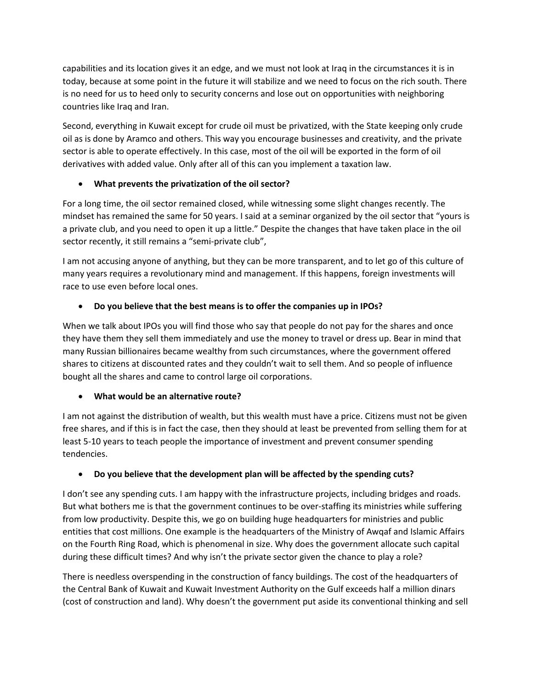capabilities and its location gives it an edge, and we must not look at Iraq in the circumstances it is in today, because at some point in the future it will stabilize and we need to focus on the rich south. There is no need for us to heed only to security concerns and lose out on opportunities with neighboring countries like Iraq and Iran.

Second, everything in Kuwait except for crude oil must be privatized, with the State keeping only crude oil as is done by Aramco and others. This way you encourage businesses and creativity, and the private sector is able to operate effectively. In this case, most of the oil will be exported in the form of oil derivatives with added value. Only after all of this can you implement a taxation law.

## • **What prevents the privatization of the oil sector?**

For a long time, the oil sector remained closed, while witnessing some slight changes recently. The mindset has remained the same for 50 years. I said at a seminar organized by the oil sector that "yours is a private club, and you need to open it up a little." Despite the changes that have taken place in the oil sector recently, it still remains a "semi-private club",

I am not accusing anyone of anything, but they can be more transparent, and to let go of this culture of many years requires a revolutionary mind and management. If this happens, foreign investments will race to use even before local ones.

# • **Do you believe that the best means is to offer the companies up in IPOs?**

When we talk about IPOs you will find those who say that people do not pay for the shares and once they have them they sell them immediately and use the money to travel or dress up. Bear in mind that many Russian billionaires became wealthy from such circumstances, where the government offered shares to citizens at discounted rates and they couldn't wait to sell them. And so people of influence bought all the shares and came to control large oil corporations.

### • **What would be an alternative route?**

I am not against the distribution of wealth, but this wealth must have a price. Citizens must not be given free shares, and if this is in fact the case, then they should at least be prevented from selling them for at least 5-10 years to teach people the importance of investment and prevent consumer spending tendencies.

# • **Do you believe that the development plan will be affected by the spending cuts?**

I don't see any spending cuts. I am happy with the infrastructure projects, including bridges and roads. But what bothers me is that the government continues to be over-staffing its ministries while suffering from low productivity. Despite this, we go on building huge headquarters for ministries and public entities that cost millions. One example is the headquarters of the Ministry of Awqaf and Islamic Affairs on the Fourth Ring Road, which is phenomenal in size. Why does the government allocate such capital during these difficult times? And why isn't the private sector given the chance to play a role?

There is needless overspending in the construction of fancy buildings. The cost of the headquarters of the Central Bank of Kuwait and Kuwait Investment Authority on the Gulf exceeds half a million dinars (cost of construction and land). Why doesn't the government put aside its conventional thinking and sell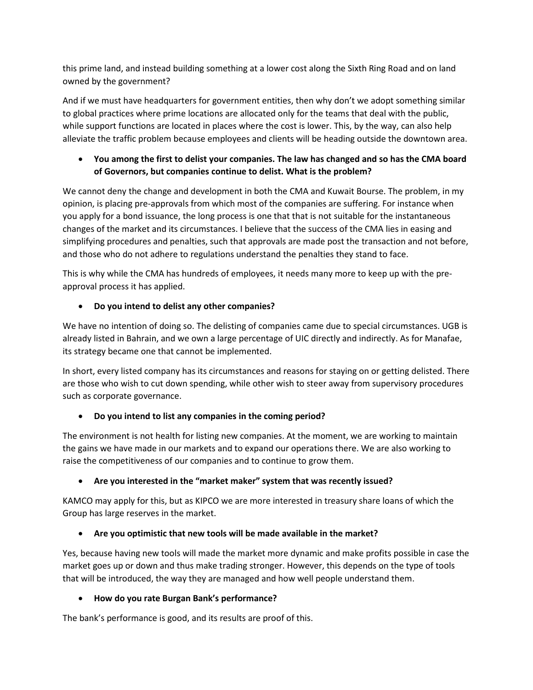this prime land, and instead building something at a lower cost along the Sixth Ring Road and on land owned by the government?

And if we must have headquarters for government entities, then why don't we adopt something similar to global practices where prime locations are allocated only for the teams that deal with the public, while support functions are located in places where the cost is lower. This, by the way, can also help alleviate the traffic problem because employees and clients will be heading outside the downtown area.

# • **You among the first to delist your companies. The law has changed and so has the CMA board of Governors, but companies continue to delist. What is the problem?**

We cannot deny the change and development in both the CMA and Kuwait Bourse. The problem, in my opinion, is placing pre-approvals from which most of the companies are suffering. For instance when you apply for a bond issuance, the long process is one that that is not suitable for the instantaneous changes of the market and its circumstances. I believe that the success of the CMA lies in easing and simplifying procedures and penalties, such that approvals are made post the transaction and not before, and those who do not adhere to regulations understand the penalties they stand to face.

This is why while the CMA has hundreds of employees, it needs many more to keep up with the preapproval process it has applied.

# • **Do you intend to delist any other companies?**

We have no intention of doing so. The delisting of companies came due to special circumstances. UGB is already listed in Bahrain, and we own a large percentage of UIC directly and indirectly. As for Manafae, its strategy became one that cannot be implemented.

In short, every listed company has its circumstances and reasons for staying on or getting delisted. There are those who wish to cut down spending, while other wish to steer away from supervisory procedures such as corporate governance.

# • **Do you intend to list any companies in the coming period?**

The environment is not health for listing new companies. At the moment, we are working to maintain the gains we have made in our markets and to expand our operations there. We are also working to raise the competitiveness of our companies and to continue to grow them.

# • **Are you interested in the "market maker" system that was recently issued?**

KAMCO may apply for this, but as KIPCO we are more interested in treasury share loans of which the Group has large reserves in the market.

# • **Are you optimistic that new tools will be made available in the market?**

Yes, because having new tools will made the market more dynamic and make profits possible in case the market goes up or down and thus make trading stronger. However, this depends on the type of tools that will be introduced, the way they are managed and how well people understand them.

### • **How do you rate Burgan Bank's performance?**

The bank's performance is good, and its results are proof of this.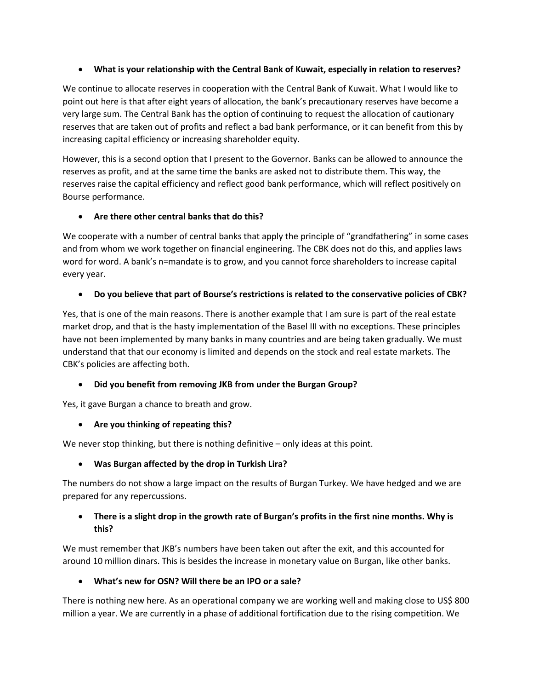### • **What is your relationship with the Central Bank of Kuwait, especially in relation to reserves?**

We continue to allocate reserves in cooperation with the Central Bank of Kuwait. What I would like to point out here is that after eight years of allocation, the bank's precautionary reserves have become a very large sum. The Central Bank has the option of continuing to request the allocation of cautionary reserves that are taken out of profits and reflect a bad bank performance, or it can benefit from this by increasing capital efficiency or increasing shareholder equity.

However, this is a second option that I present to the Governor. Banks can be allowed to announce the reserves as profit, and at the same time the banks are asked not to distribute them. This way, the reserves raise the capital efficiency and reflect good bank performance, which will reflect positively on Bourse performance.

## • **Are there other central banks that do this?**

We cooperate with a number of central banks that apply the principle of "grandfathering" in some cases and from whom we work together on financial engineering. The CBK does not do this, and applies laws word for word. A bank's n=mandate is to grow, and you cannot force shareholders to increase capital every year.

## • **Do you believe that part of Bourse's restrictions is related to the conservative policies of CBK?**

Yes, that is one of the main reasons. There is another example that I am sure is part of the real estate market drop, and that is the hasty implementation of the Basel III with no exceptions. These principles have not been implemented by many banks in many countries and are being taken gradually. We must understand that that our economy is limited and depends on the stock and real estate markets. The CBK's policies are affecting both.

### • **Did you benefit from removing JKB from under the Burgan Group?**

Yes, it gave Burgan a chance to breath and grow.

# • **Are you thinking of repeating this?**

We never stop thinking, but there is nothing definitive – only ideas at this point.

# • **Was Burgan affected by the drop in Turkish Lira?**

The numbers do not show a large impact on the results of Burgan Turkey. We have hedged and we are prepared for any repercussions.

## • **There is a slight drop in the growth rate of Burgan's profits in the first nine months. Why is this?**

We must remember that JKB's numbers have been taken out after the exit, and this accounted for around 10 million dinars. This is besides the increase in monetary value on Burgan, like other banks.

# • **What's new for OSN? Will there be an IPO or a sale?**

There is nothing new here. As an operational company we are working well and making close to US\$ 800 million a year. We are currently in a phase of additional fortification due to the rising competition. We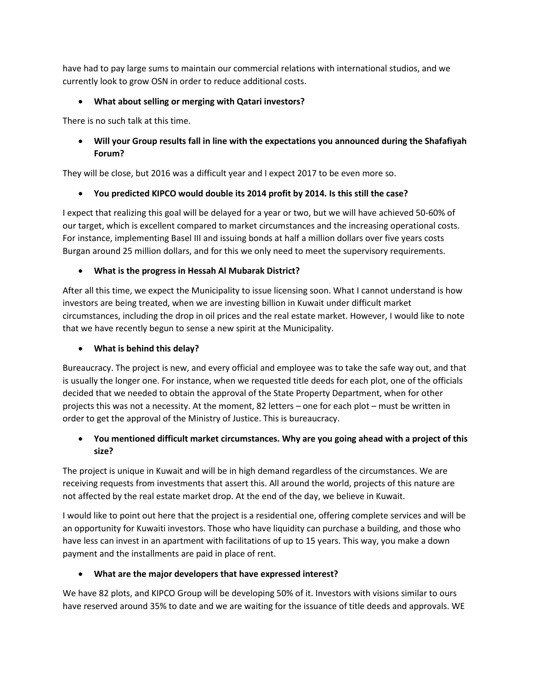have had to pay large sums to maintain our commercial relations with international studios, and we currently look to grow OSN in order to reduce additional costs.

# • **What about selling or merging with Qatari investors?**

There is no such talk at this time.

# • **Will your Group results fall in line with the expectations you announced during the Shafafiyah Forum?**

They will be close, but 2016 was a difficult year and I expect 2017 to be even more so.

## • **You predicted KIPCO would double its 2014 profit by 2014. Is this still the case?**

I expect that realizing this goal will be delayed for a year or two, but we will have achieved 50-60% of our target, which is excellent compared to market circumstances and the increasing operational costs. For instance, implementing Basel III and issuing bonds at half a million dollars over five years costs Burgan around 25 million dollars, and for this we only need to meet the supervisory requirements.

## • **What is the progress in Hessah Al Mubarak District?**

After all this time, we expect the Municipality to issue licensing soon. What I cannot understand is how investors are being treated, when we are investing billion in Kuwait under difficult market circumstances, including the drop in oil prices and the real estate market. However, I would like to note that we have recently begun to sense a new spirit at the Municipality.

### • **What is behind this delay?**

Bureaucracy. The project is new, and every official and employee was to take the safe way out, and that is usually the longer one. For instance, when we requested title deeds for each plot, one of the officials decided that we needed to obtain the approval of the State Property Department, when for other projects this was not a necessity. At the moment, 82 letters – one for each plot – must be written in order to get the approval of the Ministry of Justice. This is bureaucracy.

# • **You mentioned difficult market circumstances. Why are you going ahead with a project of this size?**

The project is unique in Kuwait and will be in high demand regardless of the circumstances. We are receiving requests from investments that assert this. All around the world, projects of this nature are not affected by the real estate market drop. At the end of the day, we believe in Kuwait.

I would like to point out here that the project is a residential one, offering complete services and will be an opportunity for Kuwaiti investors. Those who have liquidity can purchase a building, and those who have less can invest in an apartment with facilitations of up to 15 years. This way, you make a down payment and the installments are paid in place of rent.

# • **What are the major developers that have expressed interest?**

We have 82 plots, and KIPCO Group will be developing 50% of it. Investors with visions similar to ours have reserved around 35% to date and we are waiting for the issuance of title deeds and approvals. WE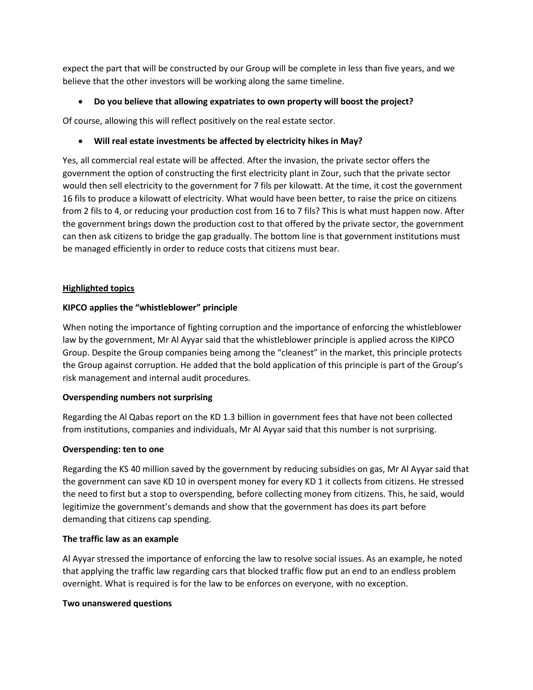expect the part that will be constructed by our Group will be complete in less than five years, and we believe that the other investors will be working along the same timeline.

### • **Do you believe that allowing expatriates to own property will boost the project?**

Of course, allowing this will reflect positively on the real estate sector.

### • **Will real estate investments be affected by electricity hikes in May?**

Yes, all commercial real estate will be affected. After the invasion, the private sector offers the government the option of constructing the first electricity plant in Zour, such that the private sector would then sell electricity to the government for 7 fils per kilowatt. At the time, it cost the government 16 fils to produce a kilowatt of electricity. What would have been better, to raise the price on citizens from 2 fils to 4, or reducing your production cost from 16 to 7 fils? This is what must happen now. After the government brings down the production cost to that offered by the private sector, the government can then ask citizens to bridge the gap gradually. The bottom line is that government institutions must be managed efficiently in order to reduce costs that citizens must bear.

#### **Highlighted topics**

#### **KIPCO applies the "whistleblower" principle**

When noting the importance of fighting corruption and the importance of enforcing the whistleblower law by the government, Mr Al Ayyar said that the whistleblower principle is applied across the KIPCO Group. Despite the Group companies being among the "cleanest" in the market, this principle protects the Group against corruption. He added that the bold application of this principle is part of the Group's risk management and internal audit procedures.

#### **Overspending numbers not surprising**

Regarding the Al Qabas report on the KD 1.3 billion in government fees that have not been collected from institutions, companies and individuals, Mr Al Ayyar said that this number is not surprising.

#### **Overspending: ten to one**

Regarding the KS 40 million saved by the government by reducing subsidies on gas, Mr Al Ayyar said that the government can save KD 10 in overspent money for every KD 1 it collects from citizens. He stressed the need to first but a stop to overspending, before collecting money from citizens. This, he said, would legitimize the government's demands and show that the government has does its part before demanding that citizens cap spending.

#### **The traffic law as an example**

Al Ayyar stressed the importance of enforcing the law to resolve social issues. As an example, he noted that applying the traffic law regarding cars that blocked traffic flow put an end to an endless problem overnight. What is required is for the law to be enforces on everyone, with no exception.

#### **Two unanswered questions**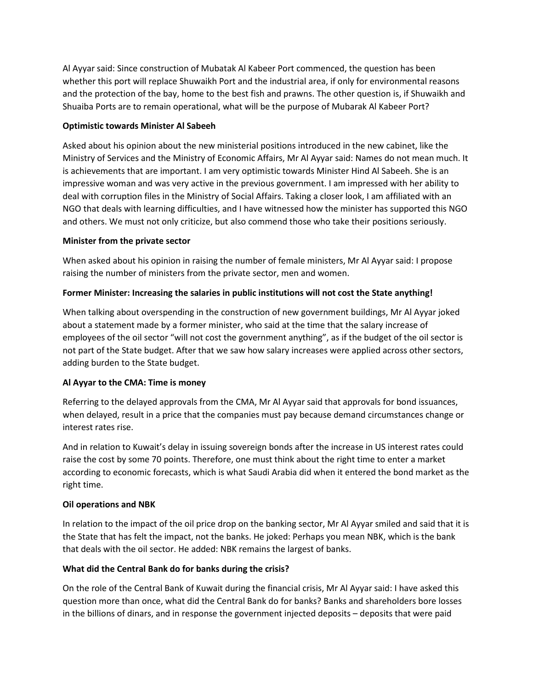Al Ayyar said: Since construction of Mubatak Al Kabeer Port commenced, the question has been whether this port will replace Shuwaikh Port and the industrial area, if only for environmental reasons and the protection of the bay, home to the best fish and prawns. The other question is, if Shuwaikh and Shuaiba Ports are to remain operational, what will be the purpose of Mubarak Al Kabeer Port?

#### **Optimistic towards Minister Al Sabeeh**

Asked about his opinion about the new ministerial positions introduced in the new cabinet, like the Ministry of Services and the Ministry of Economic Affairs, Mr Al Ayyar said: Names do not mean much. It is achievements that are important. I am very optimistic towards Minister Hind Al Sabeeh. She is an impressive woman and was very active in the previous government. I am impressed with her ability to deal with corruption files in the Ministry of Social Affairs. Taking a closer look, I am affiliated with an NGO that deals with learning difficulties, and I have witnessed how the minister has supported this NGO and others. We must not only criticize, but also commend those who take their positions seriously.

#### **Minister from the private sector**

When asked about his opinion in raising the number of female ministers, Mr Al Ayyar said: I propose raising the number of ministers from the private sector, men and women.

### **Former Minister: Increasing the salaries in public institutions will not cost the State anything!**

When talking about overspending in the construction of new government buildings, Mr Al Ayyar joked about a statement made by a former minister, who said at the time that the salary increase of employees of the oil sector "will not cost the government anything", as if the budget of the oil sector is not part of the State budget. After that we saw how salary increases were applied across other sectors, adding burden to the State budget.

### **Al Ayyar to the CMA: Time is money**

Referring to the delayed approvals from the CMA, Mr Al Ayyar said that approvals for bond issuances, when delayed, result in a price that the companies must pay because demand circumstances change or interest rates rise.

And in relation to Kuwait's delay in issuing sovereign bonds after the increase in US interest rates could raise the cost by some 70 points. Therefore, one must think about the right time to enter a market according to economic forecasts, which is what Saudi Arabia did when it entered the bond market as the right time.

#### **Oil operations and NBK**

In relation to the impact of the oil price drop on the banking sector, Mr Al Ayyar smiled and said that it is the State that has felt the impact, not the banks. He joked: Perhaps you mean NBK, which is the bank that deals with the oil sector. He added: NBK remains the largest of banks.

### **What did the Central Bank do for banks during the crisis?**

On the role of the Central Bank of Kuwait during the financial crisis, Mr Al Ayyar said: I have asked this question more than once, what did the Central Bank do for banks? Banks and shareholders bore losses in the billions of dinars, and in response the government injected deposits – deposits that were paid